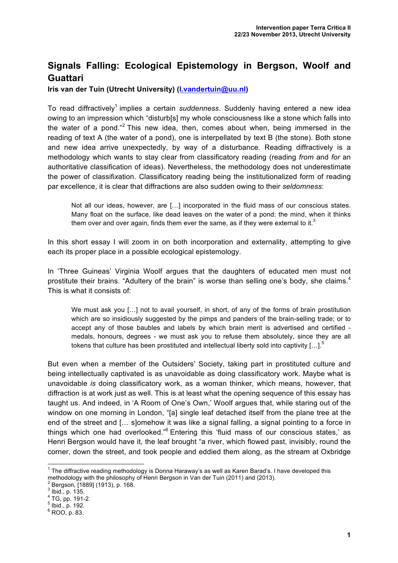## **Signals Falling: Ecological Epistemology in Bergson, Woolf and Guattari**

**Iris van der Tuin (Utrecht University) (I.vandertuin@uu.nl)**

To read diffractively<sup>1</sup> implies a certain *suddenness*. Suddenly having entered a new idea owing to an impression which "disturb[s] my whole consciousness like a stone which falls into the water of a pond."<sup>2</sup> This new idea, then, comes about when, being immersed in the reading of text A (the water of a pond), one is interpellated by text B (the stone). Both stone and new idea arrive unexpectedly, by way of a disturbance. Reading diffractively is a methodology which wants to stay clear from classificatory reading (reading *from* and *for* an authoritative classification of ideas). Nevertheless, the methodology does not underestimate the power of classifi*x*ation. Classificatory reading being the institutionalized form of reading par excellence, it is clear that diffractions are also sudden owing to their *seldomness*:

Not all our ideas, however, are […] incorporated in the fluid mass of our conscious states. Many float on the surface, like dead leaves on the water of a pond: the mind, when it thinks them over and over again, finds them ever the same, as if they were external to it. $3$ 

In this short essay I will zoom in on both incorporation and externality, attempting to give each its proper place in a possible ecological epistemology.

In 'Three Guineas' Virginia Woolf argues that the daughters of educated men must not prostitute their brains. "Adultery of the brain" is worse than selling one's body, she claims.<sup>4</sup> This is what it consists of:

We must ask you [...] not to avail yourself, in short, of any of the forms of brain prostitution which are so insidiously suggested by the pimps and panders of the brain-selling trade; or to accept any of those baubles and labels by which brain merit is advertised and certified medals, honours, degrees - we must ask you to refuse them absolutely, since they are all tokens that culture has been prostituted and intellectual liberty sold into captivity  $\dots$ .<sup>5</sup>

But even when a member of the Outsiders' Society, taking part in prostituted culture and being intellectually captivated is as unavoidable as doing classificatory work. Maybe what is unavoidable *is* doing classificatory work, as a woman thinker, which means, however, that diffraction is at work just as well. This is at least what the opening sequence of this essay has taught us. And indeed, in 'A Room of One's Own,' Woolf argues that, while staring out of the window on one morning in London, "[a] single leaf detached itself from the plane tree at the end of the street and [… s]omehow it was like a signal falling, a signal pointing to a force in things which one had overlooked."<sup>6</sup> Entering this 'fluid mass of our conscious states,' as Henri Bergson would have it, the leaf brought "a river, which flowed past, invisibly, round the corner, down the street, and took people and eddied them along, as the stream at Oxbridge

 $1$  The diffractive reading methodology is Donna Haraway's as well as Karen Barad's. I have developed this methodology with the philosophy of Henri Bergson in Van der Tuin (2011) and (2013).<br><sup>2</sup> Bergson, [1889] (1913), p. 168. 3 Ibid., p. 135.

 $^{4}$  TG, pp. 191-2.<br>  $^{5}$  Ibid., p. 192.<br>  $^{6}$  ROO, p. 83.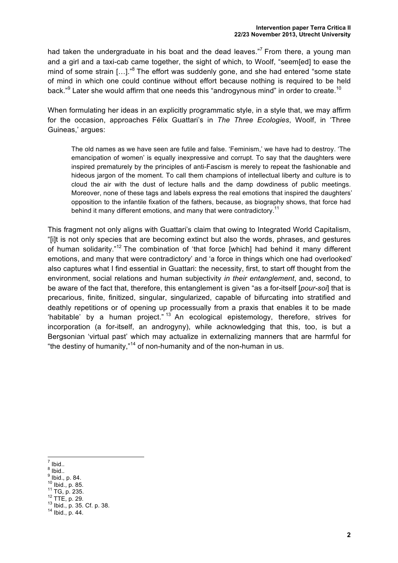had taken the undergraduate in his boat and the dead leaves."<sup>7</sup> From there, a young man and a girl and a taxi-cab came together, the sight of which, to Woolf, "seem[ed] to ease the mind of some strain [...].<sup>"8</sup> The effort was suddenly gone, and she had entered "some state of mind in which one could continue without effort because nothing is required to be held back."<sup>9</sup> Later she would affirm that one needs this "androgynous mind" in order to create.<sup>10</sup>

When formulating her ideas in an explicitly programmatic style, in a style that, we may affirm for the occasion, approaches Félix Guattari's in *The Three Ecologies*, Woolf, in 'Three Guineas,' argues:

The old names as we have seen are futile and false. 'Feminism,' we have had to destroy. 'The emancipation of women' is equally inexpressive and corrupt. To say that the daughters were inspired prematurely by the principles of anti-Fascism is merely to repeat the fashionable and hideous jargon of the moment. To call them champions of intellectual liberty and culture is to cloud the air with the dust of lecture halls and the damp dowdiness of public meetings. Moreover, none of these tags and labels express the real emotions that inspired the daughters' opposition to the infantile fixation of the fathers, because, as biography shows, that force had behind it many different emotions, and many that were contradictory.<sup>11</sup>

This fragment not only aligns with Guattari's claim that owing to Integrated World Capitalism, "[i]t is not only species that are becoming extinct but also the words, phrases, and gestures of human solidarity."<sup>12</sup> The combination of 'that force [which] had behind it many different emotions, and many that were contradictory' and 'a force in things which one had overlooked' also captures what I find essential in Guattari: the necessity, first, to start off thought from the environment, social relations and human subjectivity *in their entanglement*, and, second, to be aware of the fact that, therefore, this entanglement is given "as a for-itself [*pour-soi*] that is precarious, finite, finitized, singular, singularized, capable of bifurcating into stratified and deathly repetitions or of opening up processually from a praxis that enables it to be made 'habitable' by a human project." <sup>13</sup> An ecological epistemology, therefore, strives for incorporation (a for-itself, an androgyny), while acknowledging that this, too, is but a Bergsonian 'virtual past' which may actualize in externalizing manners that are harmful for "the destiny of humanity,"<sup>14</sup> of non-humanity and of the non-human in us.

- 
- 
- 
- 
- <sup>7</sup> Ibid..<br><sup>8</sup> Ibid., p. 84.<br><sup>10</sup> Ibid., p. 85.<br><sup>11</sup> TG, p. 235.<br><sup>12</sup> TTE, p. 29.<br><sup>13</sup> Ibid., p. 35. Cf. p. 38.<br><sup>14</sup> Ibid., p. 44.